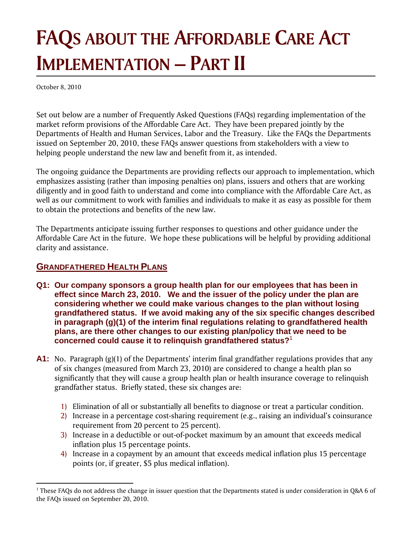# **FAQS ABOUT THE AFFORDABLE CARE ACT IMPLEMENTATION – PART II**

October 8, 2010

Set out below are a number of Frequently Asked Questions (FAQs) regarding implementation of the market reform provisions of the Affordable Care Act. They have been prepared jointly by the Departments of Health and Human Services, Labor and the Treasury. Like the FAQs the Departments issued on September 20, 2010, these FAQs answer questions from stakeholders with a view to helping people understand the new law and benefit from it, as intended.

The ongoing guidance the Departments are providing reflects our approach to implementation, which emphasizes assisting (rather than imposing penalties on) plans, issuers and others that are working diligently and in good faith to understand and come into compliance with the Affordable Care Act, as well as our commitment to work with families and individuals to make it as easy as possible for them to obtain the protections and benefits of the new law.

The Departments anticipate issuing further responses to questions and other guidance under the Affordable Care Act in the future. We hope these publications will be helpful by providing additional clarity and assistance.

#### **GRANDFATHERED HEALTH PLANS**

- **Q1: Our company sponsors a group health plan for our employees that has been in effect since March 23, 2010. We and the issuer of the policy under the plan are considering whether we could make various changes to the plan without losing grandfathered status. If we avoid making any of the six specific changes described in paragraph (g)(1) of the interim final regulations relating to grandfathered health plans, are there other changes to our existing plan/policy that we need to be concerned could cause it to relinquish grandfathered status?**<sup>1</sup>
- **A1:** No. Paragraph (g)(1) of the Departments' interim final grandfather regulations provides that any of six changes (measured from March 23, 2010) are considered to change a health plan so significantly that they will cause a group health plan or health insurance coverage to relinquish grandfather status. Briefly stated, these six changes are:
	- 1) Elimination of all or substantially all benefits to diagnose or treat a particular condition.
	- 2) Increase in a percentage cost-sharing requirement (e.g., raising an individual's coinsurance requirement from 20 percent to 25 percent).
	- 3) Increase in a deductible or out-of-pocket maximum by an amount that exceeds medical inflation plus 15 percentage points.
	- 4) Increase in a copayment by an amount that exceeds medical inflation plus 15 percentage points (or, if greater, \$5 plus medical inflation).

 $1$  These FAQs do not address the change in issuer question that the Departments stated is under consideration in Q&A 6 of the FAQs issued on September 20, 2010.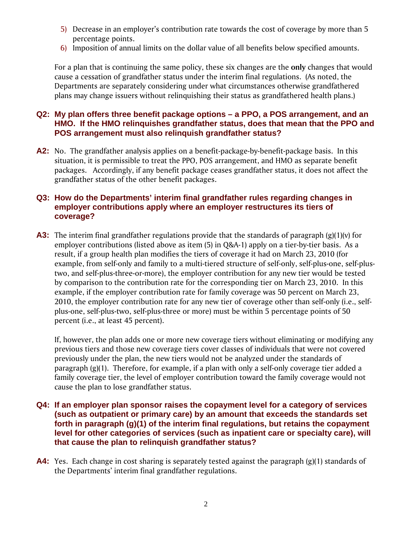- 5) Decrease in an employer's contribution rate towards the cost of coverage by more than 5 percentage points.
- 6) Imposition of annual limits on the dollar value of all benefits below specified amounts.

For a plan that is continuing the same policy, these six changes are the **only** changes that would cause a cessation of grandfather status under the interim final regulations. (As noted, the Departments are separately considering under what circumstances otherwise grandfathered plans may change issuers without relinquishing their status as grandfathered health plans.)

#### **Q2: My plan offers three benefit package options – a PPO, a POS arrangement, and an HMO. If the HMO relinquishes grandfather status, does that mean that the PPO and POS arrangement must also relinquish grandfather status?**

**A2:** No. The grandfather analysis applies on a benefit-package-by-benefit-package basis. In this situation, it is permissible to treat the PPO, POS arrangement, and HMO as separate benefit packages. Accordingly, if any benefit package ceases grandfather status, it does not affect the grandfather status of the other benefit packages.

#### **Q3: How do the Departments' interim final grandfather rules regarding changes in employer contributions apply where an employer restructures its tiers of coverage?**

**A3:** The interim final grandfather regulations provide that the standards of paragraph (g)(1)(v) for employer contributions (listed above as item (5) in Q&A-1) apply on a tier-by-tier basis. As a result, if a group health plan modifies the tiers of coverage it had on March 23, 2010 (for example, from self-only and family to a multi-tiered structure of self-only, self-plus-one, self-plustwo, and self-plus-three-or-more), the employer contribution for any new tier would be tested by comparison to the contribution rate for the corresponding tier on March 23, 2010. In this example, if the employer contribution rate for family coverage was 50 percent on March 23, 2010, the employer contribution rate for any new tier of coverage other than self-only (i.e., selfplus-one, self-plus-two, self-plus-three or more) must be within 5 percentage points of 50 percent (i.e., at least 45 percent).

If, however, the plan adds one or more new coverage tiers without eliminating or modifying any previous tiers and those new coverage tiers cover classes of individuals that were not covered previously under the plan, the new tiers would not be analyzed under the standards of paragraph (g)(1). Therefore, for example, if a plan with only a self-only coverage tier added a family coverage tier, the level of employer contribution toward the family coverage would not cause the plan to lose grandfather status.

- **Q4: If an employer plan sponsor raises the copayment level for a category of services (such as outpatient or primary care) by an amount that exceeds the standards set forth in paragraph (g)(1) of the interim final regulations, but retains the copayment level for other categories of services (such as inpatient care or specialty care), will that cause the plan to relinquish grandfather status?**
- **A4:** Yes. Each change in cost sharing is separately tested against the paragraph (g)(1) standards of the Departments' interim final grandfather regulations.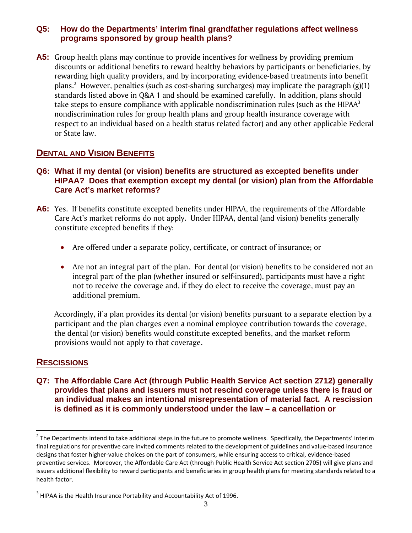#### **Q5: How do the Departments' interim final grandfather regulations affect wellness programs sponsored by group health plans?**

**A5:** Group health plans may continue to provide incentives for wellness by providing premium discounts or additional benefits to reward healthy behaviors by participants or beneficiaries, by rewarding high quality providers, and by incorporating evidence-based treatments into benefit plans.<sup>2</sup> However, penalties (such as cost-sharing surcharges) may implicate the paragraph (g)(1) standards listed above in Q&A 1 and should be examined carefully. In addition, plans should take steps to ensure compliance with applicable nondiscrimination rules (such as the HIPA $A<sup>3</sup>$ nondiscrimination rules for group health plans and group health insurance coverage with respect to an individual based on a health status related factor) and any other applicable Federal or State law.

# **DENTAL AND VISION BENEFITS**

#### **Q6: What if my dental (or vision) benefits are structured as excepted benefits under HIPAA? Does that exemption except my dental (or vision) plan from the Affordable Care Act's market reforms?**

- **A6:** Yes. If benefits constitute excepted benefits under HIPAA, the requirements of the Affordable Care Act's market reforms do not apply. Under HIPAA, dental (and vision) benefits generally constitute excepted benefits if they:
	- Are offered under a separate policy, certificate, or contract of insurance; or
	- Are not an integral part of the plan. For dental (or vision) benefits to be considered not an integral part of the plan (whether insured or self-insured), participants must have a right not to receive the coverage and, if they do elect to receive the coverage, must pay an additional premium.

Accordingly, if a plan provides its dental (or vision) benefits pursuant to a separate election by a participant and the plan charges even a nominal employee contribution towards the coverage, the dental (or vision) benefits would constitute excepted benefits, and the market reform provisions would not apply to that coverage.

# **RESCISSIONS**

**Q7: The Affordable Care Act (through Public Health Service Act section 2712) generally provides that plans and issuers must not rescind coverage unless there is fraud or an individual makes an intentional misrepresentation of material fact. A rescission is defined as it is commonly understood under the law – a cancellation or** 

 $2$  The Departments intend to take additional steps in the future to promote wellness. Specifically, the Departments' interim final regulations for preventive care invited comments related to the development of guidelines and value-based insurance designs that foster higher‐value choices on the part of consumers, while ensuring access to critical, evidence‐based preventive services. Moreover, the Affordable Care Act (through Public Health Service Act section 2705) will give plans and issuers additional flexibility to reward participants and beneficiaries in group health plans for meeting standards related to a health factor.

 $3$  HIPAA is the Health Insurance Portability and Accountability Act of 1996.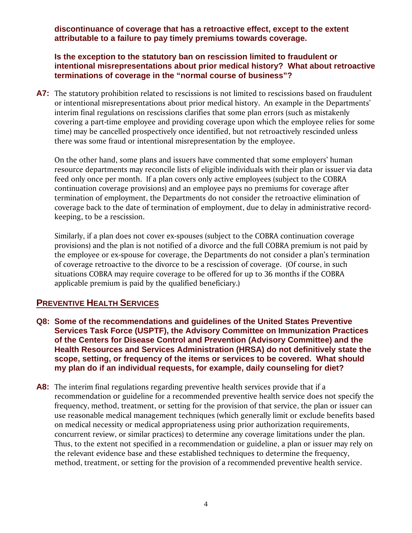**discontinuance of coverage that has a retroactive effect, except to the extent attributable to a failure to pay timely premiums towards coverage.** 

**Is the exception to the statutory ban on rescission limited to fraudulent or intentional misrepresentations about prior medical history? What about retroactive terminations of coverage in the "normal course of business"?** 

**A7:** The statutory prohibition related to rescissions is not limited to rescissions based on fraudulent or intentional misrepresentations about prior medical history. An example in the Departments' interim final regulations on rescissions clarifies that some plan errors (such as mistakenly covering a part-time employee and providing coverage upon which the employee relies for some time) may be cancelled prospectively once identified, but not retroactively rescinded unless there was some fraud or intentional misrepresentation by the employee.

On the other hand, some plans and issuers have commented that some employers' human resource departments may reconcile lists of eligible individuals with their plan or issuer via data feed only once per month. If a plan covers only active employees (subject to the COBRA continuation coverage provisions) and an employee pays no premiums for coverage after termination of employment, the Departments do not consider the retroactive elimination of coverage back to the date of termination of employment, due to delay in administrative recordkeeping, to be a rescission.

Similarly, if a plan does not cover ex-spouses (subject to the COBRA continuation coverage provisions) and the plan is not notified of a divorce and the full COBRA premium is not paid by the employee or ex-spouse for coverage, the Departments do not consider a plan's termination of coverage retroactive to the divorce to be a rescission of coverage. (Of course, in such situations COBRA may require coverage to be offered for up to 36 months if the COBRA applicable premium is paid by the qualified beneficiary.)

# **PREVENTIVE HEALTH SERVICES**

- **Q8: Some of the recommendations and guidelines of the United States Preventive Services Task Force (USPTF), the Advisory Committee on Immunization Practices of the Centers for Disease Control and Prevention (Advisory Committee) and the Health Resources and Services Administration (HRSA) do not definitively state the scope, setting, or frequency of the items or services to be covered. What should my plan do if an individual requests, for example, daily counseling for diet?**
- **A8:** The interim final regulations regarding preventive health services provide that if a recommendation or guideline for a recommended preventive health service does not specify the frequency, method, treatment, or setting for the provision of that service, the plan or issuer can use reasonable medical management techniques (which generally limit or exclude benefits based on medical necessity or medical appropriateness using prior authorization requirements, concurrent review, or similar practices) to determine any coverage limitations under the plan. Thus, to the extent not specified in a recommendation or guideline, a plan or issuer may rely on the relevant evidence base and these established techniques to determine the frequency, method, treatment, or setting for the provision of a recommended preventive health service.